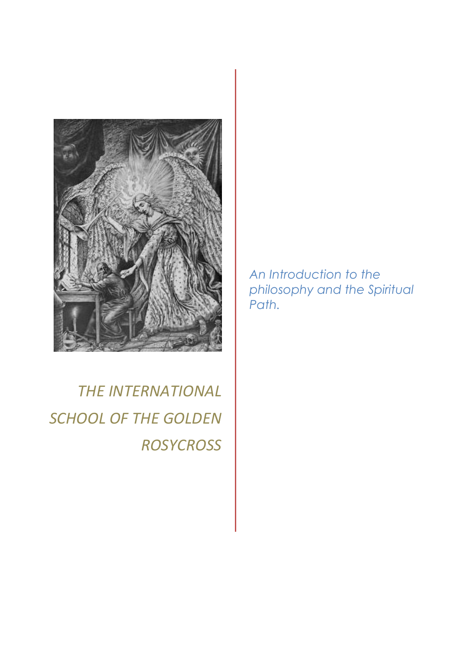

*THE INTERNATIONAL SCHOOL OF THE GOLDEN ROSYCROSS*

*An Introduction to the philosophy and the Spiritual Path.*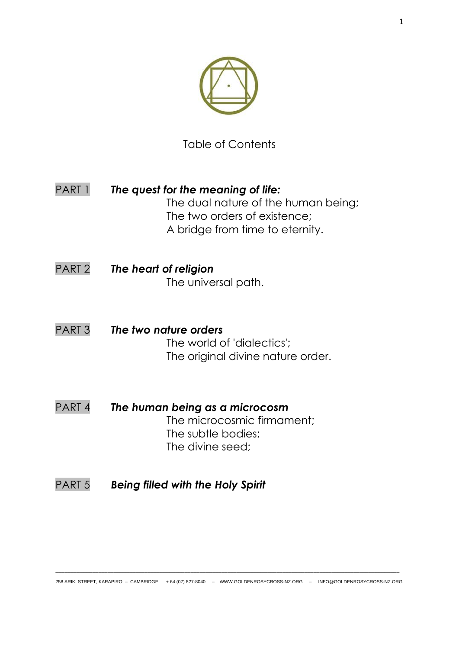

Table of Contents

- PART 1 *The quest for the meaning of life:* The dual nature of the human being; The two orders of existence; A bridge from time to eternity.
- PART 2 *The heart of religion* The universal path.
- PART 3 *The two nature orders* The world of 'dialectics'; The original divine nature order.
- PART 4 *The human being as a microcosm* The microcosmic firmament; The subtle bodies; The divine seed;
- PART 5 *Being filled with the Holy Spirit*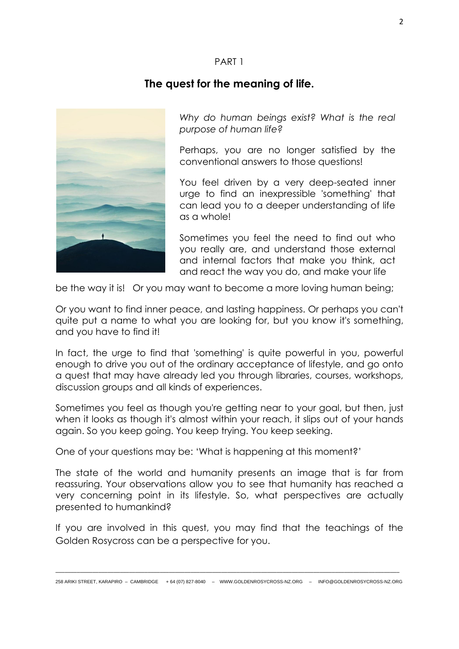# **The quest for the meaning of life.**



*Why do human beings exist? What is the real purpose of human life?* 

Perhaps, you are no longer satisfied by the conventional answers to those questions!

You feel driven by a very deep-seated inner urge to find an inexpressible 'something' that can lead you to a deeper understanding of life as a whole!

Sometimes you feel the need to find out who you really are, and understand those external and internal factors that make you think, act and react the way you do, and make your life

be the way it is! Or you may want to become a more loving human being;

Or you want to find inner peace, and lasting happiness. Or perhaps you can't quite put a name to what you are looking for, but you know it's something, and you have to find it!

In fact, the urge to find that 'something' is quite powerful in you, powerful enough to drive you out of the ordinary acceptance of lifestyle, and go onto a quest that may have already led you through libraries, courses, workshops, discussion groups and all kinds of experiences.

Sometimes you feel as though you're getting near to your goal, but then, just when it looks as though it's almost within your reach, it slips out of your hands again. So you keep going. You keep trying. You keep seeking.

One of your questions may be: 'What is happening at this moment?'

The state of the world and humanity presents an image that is far from reassuring. Your observations allow you to see that humanity has reached a very concerning point in its lifestyle. So, what perspectives are actually presented to humankind?

If you are involved in this quest, you may find that the teachings of the Golden Rosycross can be a perspective for you.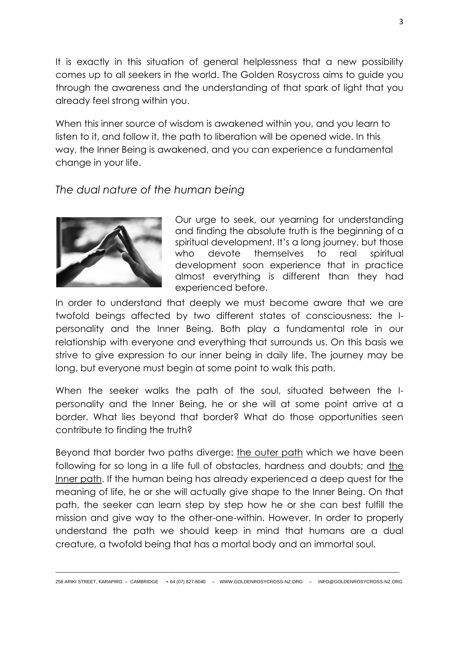It is exactly in this situation of general helplessness that a new possibility comes up to all seekers in the world. The Golden Rosycross aims to guide you through the awareness and the understanding of that spark of light that you already feel strong within you.

When this inner source of wisdom is awakened within you, and you learn to listen to it, and follow it, the path to liberation will be opened wide. In this way, the Inner Being is awakened, and you can experience a fundamental change in your life.

# *The dual nature of the human being*



Our urge to seek, our yearning for understanding and finding the absolute truth is the beginning of a spiritual development. It's a long journey, but those who devote themselves to real spiritual development soon experience that in practice almost everything is different than they had experienced before.

In order to understand that deeply we must become aware that we are twofold beings affected by two different states of consciousness: the Ipersonality and the Inner Being. Both play a fundamental role in our relationship with everyone and everything that surrounds us. On this basis we strive to give expression to our inner being in daily life. The journey may be long, but everyone must begin at some point to walk this path.

When the seeker walks the path of the soul, situated between the Ipersonality and the Inner Being, he or she will at some point arrive at a border. What lies beyond that border? What do those opportunities seen contribute to finding the truth?

Beyond that border two paths diverge: the outer path which we have been following for so long in a life full of obstacles, hardness and doubts; and the Inner path. If the human being has already experienced a deep quest for the meaning of life, he or she will actually give shape to the Inner Being. On that path, the seeker can learn step by step how he or she can best fulfill the mission and give way to the other-one-within. However, In order to properly understand the path we should keep in mind that humans are a dual creature, a twofold being that has a mortal body and an immortal soul.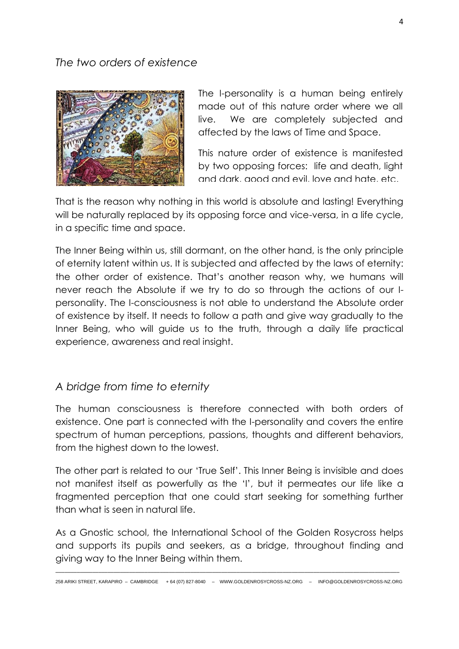## *The two orders of existence*



The I-personality is a human being entirely made out of this nature order where we all live. We are completely subjected and affected by the laws of Time and Space.

This nature order of existence is manifested by two opposing forces: life and death, liaht and dark, good and evil, love and hate, etc.

That is the reason why nothing in this world is absolute and lasting! Everything will be naturally replaced by its opposing force and vice-versa, in a life cycle, in a specific time and space.

The Inner Being within us, still dormant, on the other hand, is the only principle of eternity latent within us. It is subjected and affected by the laws of eternity: the other order of existence. That's another reason why, we humans will never reach the Absolute if we try to do so through the actions of our Ipersonality. The I-consciousness is not able to understand the Absolute order of existence by itself. It needs to follow a path and give way gradually to the Inner Being, who will guide us to the truth, through a daily life practical experience, awareness and real insight.

## *A bridge from time to eternity*

The human consciousness is therefore connected with both orders of existence. One part is connected with the I-personality and covers the entire spectrum of human perceptions, passions, thoughts and different behaviors, from the highest down to the lowest.

The other part is related to our 'True Self'. This Inner Being is invisible and does not manifest itself as powerfully as the 'I', but it permeates our life like a fragmented perception that one could start seeking for something further than what is seen in natural life.

As a Gnostic school, the International School of the Golden Rosycross helps and supports its pupils and seekers, as a bridge, throughout finding and giving way to the Inner Being within them.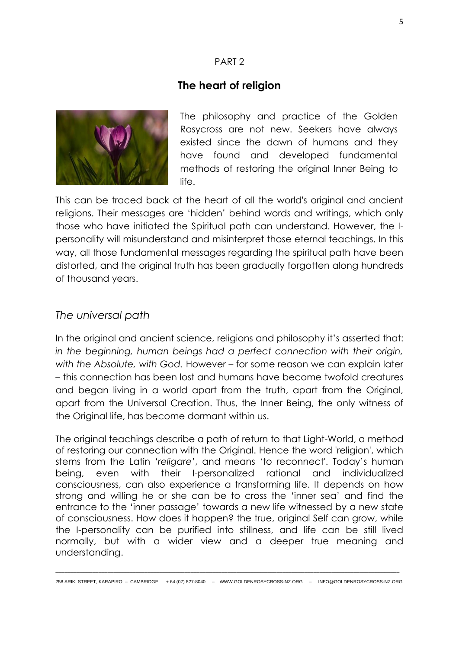# **The heart of religion**



The philosophy and practice of the Golden Rosycross are not new. Seekers have always existed since the dawn of humans and they have found and developed fundamental methods of restoring the original Inner Being to life.

This can be traced back at the heart of all the world's original and ancient religions. Their messages are 'hidden' behind words and writings, which only those who have initiated the Spiritual path can understand. However, the Ipersonality will misunderstand and misinterpret those eternal teachings. In this way, all those fundamental messages regarding the spiritual path have been distorted, and the original truth has been gradually forgotten along hundreds of thousand years.

## *The universal path*

In the original and ancient science, religions and philosophy it's asserted that: *in the beginning, human beings had a perfect connection with their origin, with the Absolute, with God.* However – for some reason we can explain later – this connection has been lost and humans have become twofold creatures and began living in a world apart from the truth, apart from the Original, apart from the Universal Creation. Thus, the Inner Being, the only witness of the Original life, has become dormant within us.

The original teachings describe a path of return to that Light-World, a method of restoring our connection with the Original. Hence the word 'religion', which stems from the Latin '*religare*', and means 'to reconnect'. Today's human being, even with their I-personalized rational and individualized consciousness, can also experience a transforming life. It depends on how strong and willing he or she can be to cross the 'inner sea' and find the entrance to the 'inner passage' towards a new life witnessed by a new state of consciousness. How does it happen? the true, original Self can grow, while the I-personality can be purified into stillness, and life can be still lived normally, but with a wider view and a deeper true meaning and understanding.

\_\_\_\_\_\_\_\_\_\_\_\_\_\_\_\_\_\_\_\_\_\_\_\_\_\_\_\_\_\_\_\_\_\_\_\_\_\_\_\_\_\_\_\_\_\_\_\_\_\_\_\_\_\_\_\_\_\_\_\_\_\_\_\_\_\_\_\_\_\_\_\_\_\_\_\_\_\_\_\_\_\_\_\_\_\_\_\_\_\_\_\_\_\_\_\_\_\_\_\_\_\_\_\_\_\_\_\_\_\_\_\_ 258 ARIKI STREET, KARAPIRO – CAMBRIDGE + 64 (07) 827-8040 – WWW.GOLDENROSYCROSS-NZ.ORG – INFO@GOLDENROSYCROSS-NZ.ORG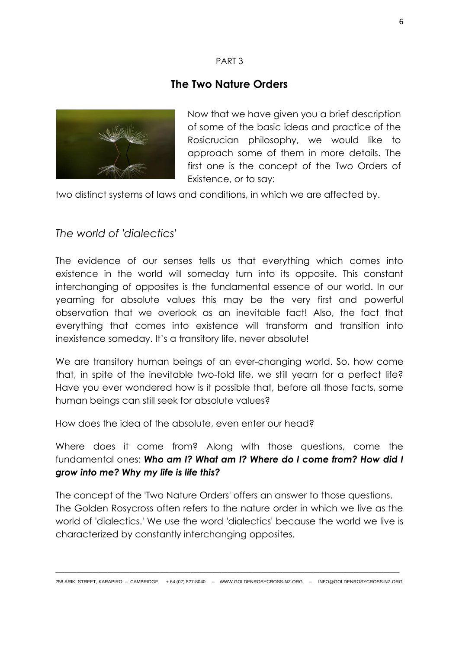# **The Two Nature Orders**



Now that we have given you a brief description of some of the basic ideas and practice of the Rosicrucian philosophy, we would like to approach some of them in more details. The first one is the concept of the Two Orders of Existence, or to say:

two distinct systems of laws and conditions, in which we are affected by.

## *The world of 'dialectics'*

The evidence of our senses tells us that everything which comes into existence in the world will someday turn into its opposite. This constant interchanging of opposites is the fundamental essence of our world. In our yearning for absolute values this may be the very first and powerful observation that we overlook as an inevitable fact! Also, the fact that everything that comes into existence will transform and transition into inexistence someday. It's a transitory life, never absolute!

We are transitory human beings of an ever-changing world. So, how come that, in spite of the inevitable two-fold life, we still yearn for a perfect life? Have you ever wondered how is it possible that, before all those facts, some human beings can still seek for absolute values?

How does the idea of the absolute, even enter our head?

Where does it come from? Along with those questions, come the fundamental ones: *Who am I? What am I? Where do I come from? How did I grow into me? Why my life is life this?*

The concept of the 'Two Nature Orders' offers an answer to those questions. The Golden Rosycross often refers to the nature order in which we live as the world of 'dialectics.' We use the word 'dialectics' because the world we live is characterized by constantly interchanging opposites.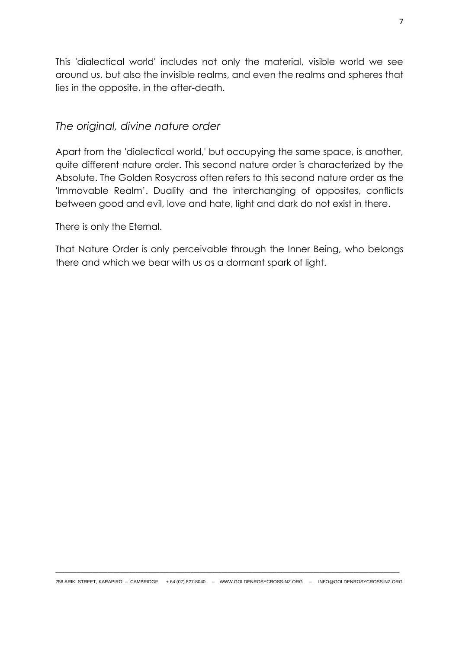This 'dialectical world' includes not only the material, visible world we see around us, but also the invisible realms, and even the realms and spheres that lies in the opposite, in the after-death.

### *The original, divine nature order*

Apart from the 'dialectical world,' but occupying the same space, is another, quite different nature order. This second nature order is characterized by the Absolute. The Golden Rosycross often refers to this second nature order as the 'Immovable Realm'. Duality and the interchanging of opposites, conflicts between good and evil, love and hate, light and dark do not exist in there.

There is only the Eternal.

That Nature Order is only perceivable through the Inner Being, who belongs there and which we bear with us as a dormant spark of light.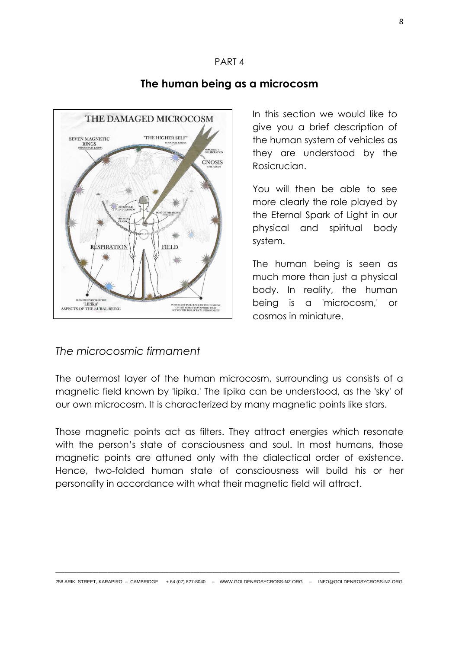

# **The human being as a microcosm**

In this section we would like to give you a brief description of the human system of vehicles as they are understood by the Rosicrucian.

You will then be able to see more clearly the role played by the Eternal Spark of Light in our physical and spiritual body system.

The human being is seen as much more than just a physical body. In reality, the human being is a 'microcosm,' or cosmos in miniature.

# *The microcosmic firmament*

The outermost layer of the human microcosm, surrounding us consists of a magnetic field known by 'lipika.' The lipika can be understood, as the 'sky' of our own microcosm. It is characterized by many magnetic points like stars.

Those magnetic points act as filters. They attract energies which resonate with the person's state of consciousness and soul. In most humans, those magnetic points are attuned only with the dialectical order of existence. Hence, two-folded human state of consciousness will build his or her personality in accordance with what their magnetic field will attract.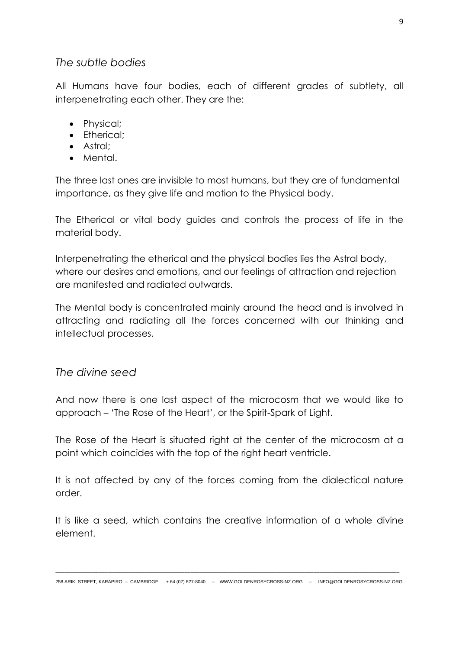## *The subtle bodies*

All Humans have four bodies, each of different grades of subtlety, all interpenetrating each other. They are the:

- Physical;
- Etherical;
- Astral;
- Mental.

The three last ones are invisible to most humans, but they are of fundamental importance, as they give life and motion to the Physical body.

The Etherical or vital body guides and controls the process of life in the material body.

Interpenetrating the etherical and the physical bodies lies the Astral body, where our desires and emotions, and our feelings of attraction and rejection are manifested and radiated outwards.

The Mental body is concentrated mainly around the head and is involved in attracting and radiating all the forces concerned with our thinking and intellectual processes.

*The divine seed* 

And now there is one last aspect of the microcosm that we would like to approach – 'The Rose of the Heart', or the Spirit-Spark of Light.

The Rose of the Heart is situated right at the center of the microcosm at a point which coincides with the top of the right heart ventricle.

It is not affected by any of the forces coming from the dialectical nature order.

It is like a seed, which contains the creative information of a whole divine element.